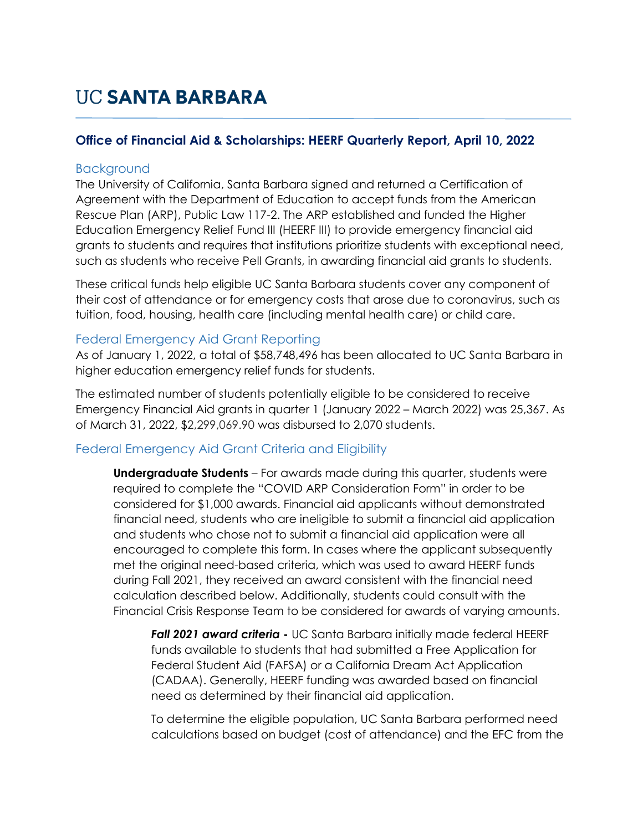## **UC SANTA BARBARA**

### **Office of Financial Aid & Scholarships: HEERF Quarterly Report, April 10, 2022**

#### **Background**

The University of California, Santa Barbara signed and returned a Certification of Agreement with the Department of Education to accept funds from the American Rescue Plan (ARP), Public Law 117-2. The ARP established and funded the Higher Education Emergency Relief Fund III (HEERF III) to provide emergency financial aid grants to students and requires that institutions prioritize students with exceptional need, such as students who receive Pell Grants, in awarding financial aid grants to students.

These critical funds help eligible UC Santa Barbara students cover any component of their cost of attendance or for emergency costs that arose due to coronavirus, such as tuition, food, housing, health care (including mental health care) or child care.

#### Federal Emergency Aid Grant Reporting

As of January 1, 2022, a total of \$58,748,496 has been allocated to UC Santa Barbara in higher education emergency relief funds for students.

The estimated number of students potentially eligible to be considered to receive Emergency Financial Aid grants in quarter 1 (January 2022 – March 2022) was 25,367. As of March 31, 2022, \$2,299,069.90 was disbursed to 2,070 students.

### Federal Emergency Aid Grant Criteria and Eligibility

**Undergraduate Students** – For awards made during this quarter, students were required to complete the "COVID ARP Consideration Form" in order to be considered for \$1,000 awards. Financial aid applicants without demonstrated financial need, students who are ineligible to submit a financial aid application and students who chose not to submit a financial aid application were all encouraged to complete this form. In cases where the applicant subsequently met the original need-based criteria, which was used to award HEERF funds during Fall 2021, they received an award consistent with the financial need calculation described below. Additionally, students could consult with the Financial Crisis Response Team to be considered for awards of varying amounts.

*Fall 2021 award criteria* **-** UC Santa Barbara initially made federal HEERF funds available to students that had submitted a Free Application for Federal Student Aid (FAFSA) or a California Dream Act Application (CADAA). Generally, HEERF funding was awarded based on financial need as determined by their financial aid application.

To determine the eligible population, UC Santa Barbara performed need calculations based on budget (cost of attendance) and the EFC from the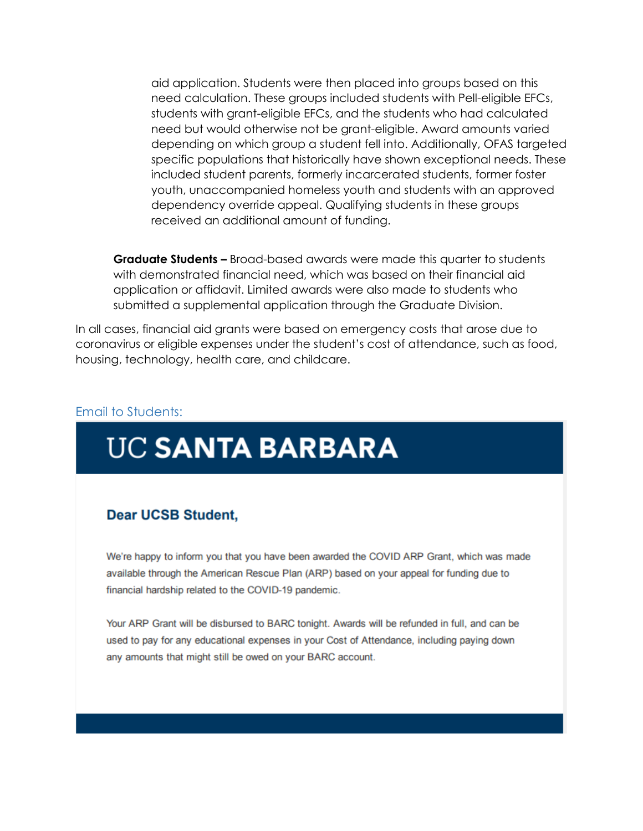aid application. Students were then placed into groups based on this need calculation. These groups included students with Pell-eligible EFCs, students with grant-eligible EFCs, and the students who had calculated need but would otherwise not be grant-eligible. Award amounts varied depending on which group a student fell into. Additionally, OFAS targeted specific populations that historically have shown exceptional needs. These included student parents, formerly incarcerated students, former foster youth, unaccompanied homeless youth and students with an approved dependency override appeal. Qualifying students in these groups received an additional amount of funding.

**Graduate Students –** Broad-based awards were made this quarter to students with demonstrated financial need, which was based on their financial aid application or affidavit. Limited awards were also made to students who submitted a supplemental application through the Graduate Division.

In all cases, financial aid grants were based on emergency costs that arose due to coronavirus or eligible expenses under the student's cost of attendance, such as food, housing, technology, health care, and childcare.

#### Email to Students:

# **UC SANTA BARBARA**

#### **Dear UCSB Student.**

We're happy to inform you that you have been awarded the COVID ARP Grant, which was made available through the American Rescue Plan (ARP) based on your appeal for funding due to financial hardship related to the COVID-19 pandemic.

Your ARP Grant will be disbursed to BARC tonight. Awards will be refunded in full, and can be used to pay for any educational expenses in your Cost of Attendance, including paying down any amounts that might still be owed on your BARC account.